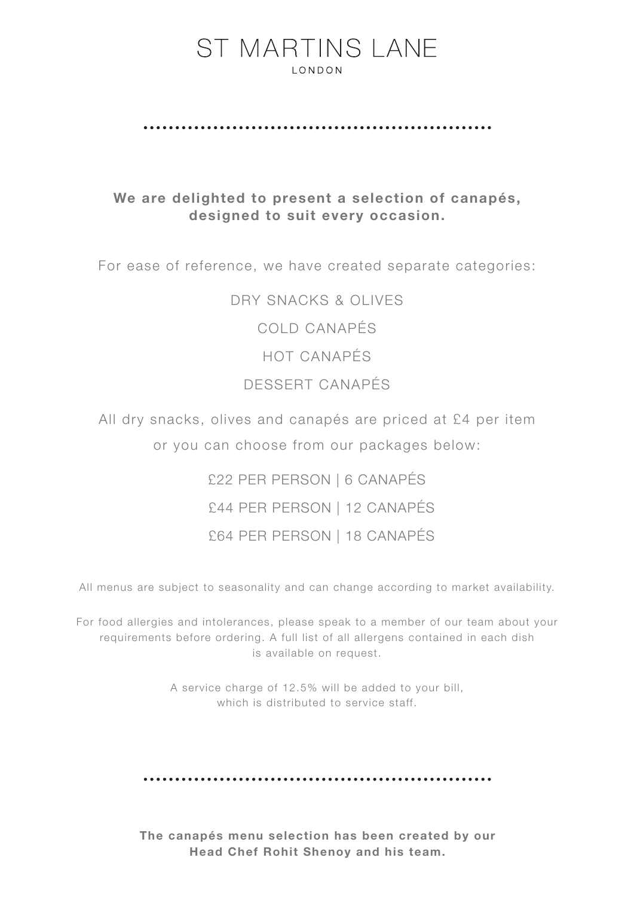## **ST MARTINS LANE LONDON**

## We are delighted to present a selection of canapés, designed to suit every occasion.

For ease of reference, we have created separate categories:

DRY SNACKS & OLIVES COLD CANAPÉS HOT CANAPÉS DESSERT CANAPÉS

All dry snacks, olives and canapés are priced at £4 per item or you can choose from our packages below:

> £22 PER PERSON | 6 CANAPÉS £44 PER PERSON | 12 CANAPÉS £64 PER PERSON | 18 CANAPÉS

All menus are subject to seasonality and can change according to market availability.

For food allergies and intolerances, please speak to a member of our team about your requirements before ordering. A full list of all allergens contained in each dish is available on request.

> A service charge of 12.5% will be added to your bill, which is distributed to service staff.

The canapés menu selection has been created by our Head Chef Rohit Shenoy and his team.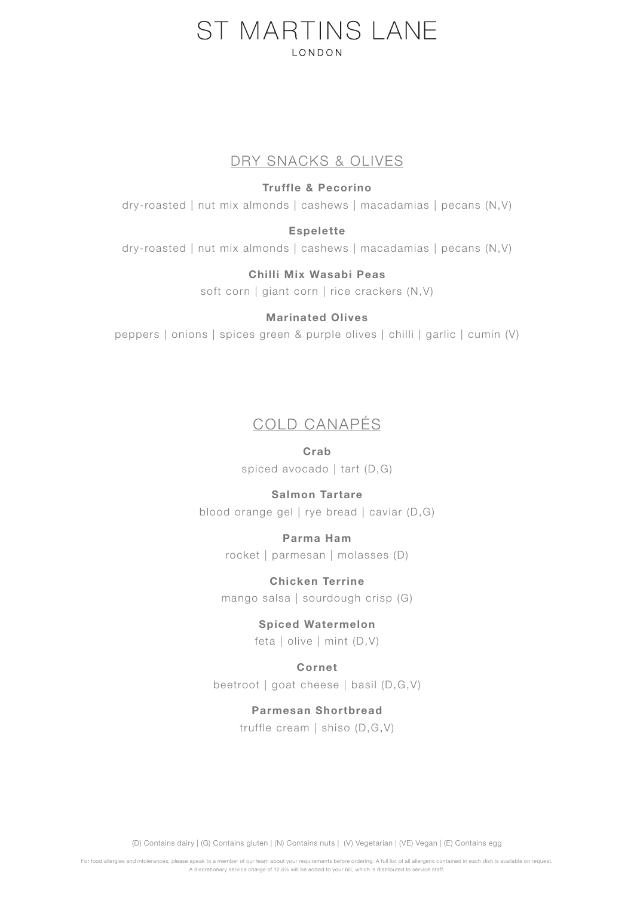# ST MARTINS LANE **LONDON**

## DRY SNACKS & OLIVES

#### Truffle & Pecorino

dry-roasted | nut mix almonds | cashews | macadamias | pecans (N,V)

#### Espelette

dry-roasted | nut mix almonds | cashews | macadamias | pecans (N,V)

# Chilli Mix Wasabi Peas

soft corn | giant corn | rice crackers (N,V)

#### Marinated Olives

peppers | onions | spices green & purple olives | chilli | garlic | cumin (V)

## COLD CANAPÉS

#### Crab

spiced avocado | tart (D,G)

#### Salmon Tartare

blood orange gel | rye bread | caviar (D,G)

#### Parma Ham

rocket | parmesan | molasses (D)

## Chicken Terrine

mango salsa | sourdough crisp (G)

#### Spiced Watermelon

feta | olive | mint (D,V)

#### Cornet

beetroot | goat cheese | basil (D,G,V)

#### Parmesan Shortbread

truffle cream | shiso (D,G,V)

(D) Contains dairy | (G) Contains gluten | (N) Contains nuts | (V) Vegetarian | (VE) Vegan | (E) Contains egg